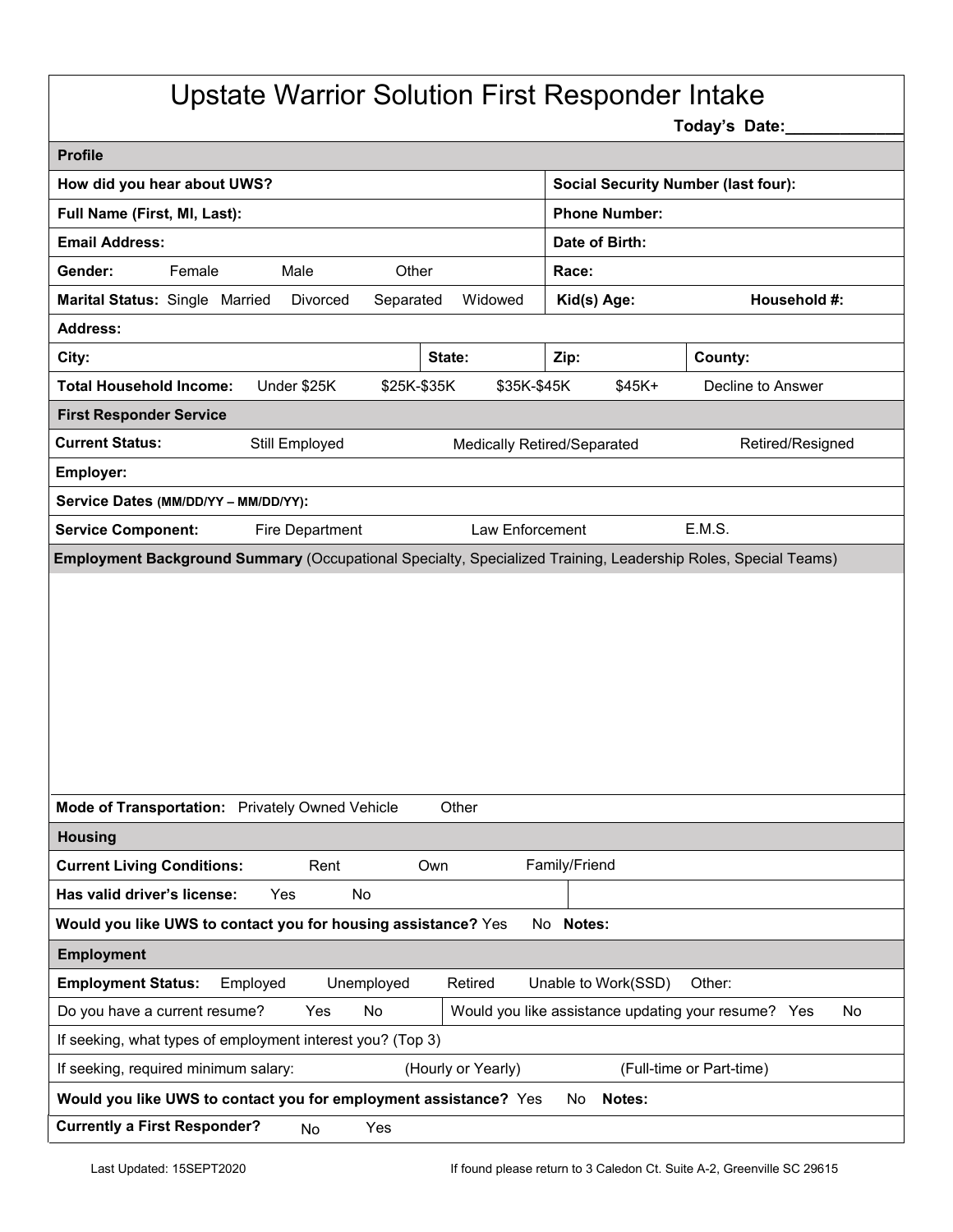## Upstate Warrior Solution First Responder Intake

**Today's Date:\_\_\_\_\_\_\_\_\_\_\_\_\_**

| <b>Profile</b>                                                                                                |                                                           |  |  |  |  |
|---------------------------------------------------------------------------------------------------------------|-----------------------------------------------------------|--|--|--|--|
| How did you hear about UWS?                                                                                   | <b>Social Security Number (last four):</b>                |  |  |  |  |
| <b>Phone Number:</b><br>Full Name (First, MI, Last):                                                          |                                                           |  |  |  |  |
| <b>Email Address:</b>                                                                                         | Date of Birth:                                            |  |  |  |  |
| Gender:<br>Female<br>Male<br>Other                                                                            | Race:                                                     |  |  |  |  |
| Marital Status: Single Married<br>Divorced<br>Widowed<br>Separated                                            | Kid(s) Age:<br>Household #:                               |  |  |  |  |
| <b>Address:</b>                                                                                               |                                                           |  |  |  |  |
| State:<br>City:                                                                                               | County:<br>Zip:                                           |  |  |  |  |
| <b>Total Household Income:</b><br>Under \$25K<br>\$25K-\$35K<br>\$35K-\$45K                                   | $$45K+$<br>Decline to Answer                              |  |  |  |  |
| <b>First Responder Service</b>                                                                                |                                                           |  |  |  |  |
| <b>Current Status:</b><br>Still Employed                                                                      | Retired/Resigned<br>Medically Retired/Separated           |  |  |  |  |
| Employer:                                                                                                     |                                                           |  |  |  |  |
| Service Dates (MM/DD/YY - MM/DD/YY):                                                                          |                                                           |  |  |  |  |
| Law Enforcement<br><b>Fire Department</b><br><b>Service Component:</b>                                        | E.M.S.                                                    |  |  |  |  |
| Employment Background Summary (Occupational Specialty, Specialized Training, Leadership Roles, Special Teams) |                                                           |  |  |  |  |
|                                                                                                               |                                                           |  |  |  |  |
|                                                                                                               |                                                           |  |  |  |  |
|                                                                                                               |                                                           |  |  |  |  |
|                                                                                                               |                                                           |  |  |  |  |
|                                                                                                               |                                                           |  |  |  |  |
|                                                                                                               |                                                           |  |  |  |  |
|                                                                                                               |                                                           |  |  |  |  |
| Other<br>Mode of Transportation: Privately Owned Vehicle                                                      |                                                           |  |  |  |  |
| <b>Housing</b>                                                                                                |                                                           |  |  |  |  |
| <b>Current Living Conditions:</b><br>Rent<br>Own                                                              | Family/Friend                                             |  |  |  |  |
| Has valid driver's license:<br>Yes<br>No                                                                      |                                                           |  |  |  |  |
| Would you like UWS to contact you for housing assistance? Yes                                                 | No Notes:                                                 |  |  |  |  |
| <b>Employment</b>                                                                                             |                                                           |  |  |  |  |
| <b>Employment Status:</b><br>Employed<br>Unemployed<br>Retired                                                | Unable to Work(SSD)<br>Other:                             |  |  |  |  |
| Do you have a current resume?<br>Yes<br>No                                                                    | Would you like assistance updating your resume? Yes<br>No |  |  |  |  |
| If seeking, what types of employment interest you? (Top 3)                                                    |                                                           |  |  |  |  |
| If seeking, required minimum salary:<br>(Hourly or Yearly)<br>(Full-time or Part-time)                        |                                                           |  |  |  |  |
| Would you like UWS to contact you for employment assistance? Yes<br>Notes:<br>No                              |                                                           |  |  |  |  |
| <b>Currently a First Responder?</b><br>Yes<br>No                                                              |                                                           |  |  |  |  |